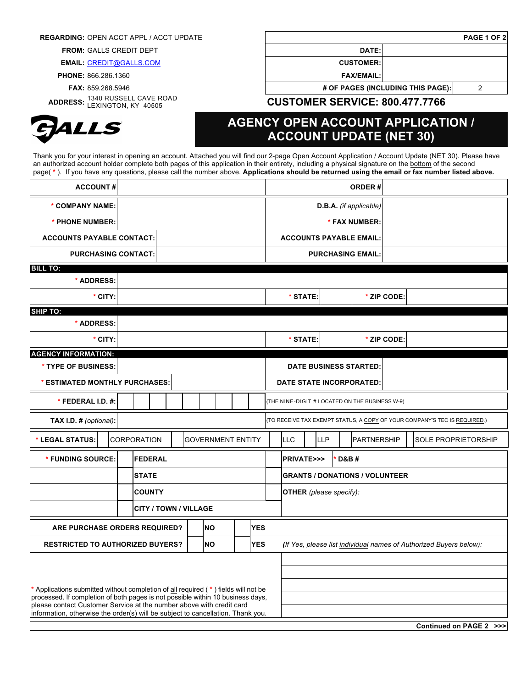## **REGARDING:** OPEN ACCT APPL / ACCT UPDATE **PAGE 1 OF 2**

**FROM:** GALLS CREDIT DEPT **DATE:**

**EMAIL:** CREDIT@GALLS.COM **CUSTOMER:**

**PHONE:** 866.286.1360 **FAX/EMAIL:**

**ADDRESS:** 1340 RUSSELL CAVE ROAD



**FAX:** 859.268.5946 **# OF PAGES (INCLUDING THIS PAGE):** 2

LEXINGTON, KY 40505 **CUSTOMER SERVICE: 800.477.7766**

## **AGENCY OPEN ACCOUNT APPLICATION / ACCOUNT UPDATE (NET 30)**

Thank you for your interest in opening an account. Attached you will find our 2-page Open Account Application / Account Update (NET 30). Please have an authorized account holder complete both pages of this application in their entirety, including a physical signature on the bottom of the second page( **\*** ). If you have any questions, please call the number above. **Applications should be returned using the email or fax number listed above.** 

| <b>ACCOUNT#</b>                                                                  |              |                    |                          |  |  |                        |                                                                           |                                               |                                                |                                                                    | <b>ORDER#</b>                         |  |                    |             |  |                            |  |  |                         |
|----------------------------------------------------------------------------------|--------------|--------------------|--------------------------|--|--|------------------------|---------------------------------------------------------------------------|-----------------------------------------------|------------------------------------------------|--------------------------------------------------------------------|---------------------------------------|--|--------------------|-------------|--|----------------------------|--|--|-------------------------|
| * COMPANY NAME:                                                                  |              |                    |                          |  |  | D.B.A. (if applicable) |                                                                           |                                               |                                                |                                                                    |                                       |  |                    |             |  |                            |  |  |                         |
| * PHONE NUMBER:                                                                  |              |                    |                          |  |  |                        |                                                                           |                                               | * FAX NUMBER:                                  |                                                                    |                                       |  |                    |             |  |                            |  |  |                         |
| <b>ACCOUNTS PAYABLE CONTACT:</b>                                                 |              |                    |                          |  |  |                        | <b>ACCOUNTS PAYABLE EMAIL:</b>                                            |                                               |                                                |                                                                    |                                       |  |                    |             |  |                            |  |  |                         |
| <b>PURCHASING CONTACT:</b>                                                       |              |                    |                          |  |  |                        | <b>PURCHASING EMAIL:</b>                                                  |                                               |                                                |                                                                    |                                       |  |                    |             |  |                            |  |  |                         |
| <b>BILL TO:</b>                                                                  |              |                    |                          |  |  |                        |                                                                           |                                               |                                                |                                                                    |                                       |  |                    |             |  |                            |  |  |                         |
| * ADDRESS:                                                                       |              |                    |                          |  |  |                        |                                                                           |                                               |                                                |                                                                    |                                       |  |                    |             |  |                            |  |  |                         |
| * CITY:                                                                          |              |                    |                          |  |  |                        |                                                                           |                                               |                                                |                                                                    | * STATE:                              |  |                    | * ZIP CODE: |  |                            |  |  |                         |
| <b>SHIP TO:</b>                                                                  |              |                    |                          |  |  |                        |                                                                           |                                               |                                                |                                                                    |                                       |  |                    |             |  |                            |  |  |                         |
| * ADDRESS:                                                                       |              |                    |                          |  |  |                        |                                                                           |                                               |                                                |                                                                    |                                       |  |                    |             |  |                            |  |  |                         |
| * CITY:                                                                          |              |                    |                          |  |  |                        | * STATE:                                                                  |                                               |                                                | * ZIP CODE:                                                        |                                       |  |                    |             |  |                            |  |  |                         |
| <b>AGENCY INFORMATION:</b>                                                       |              |                    |                          |  |  |                        |                                                                           |                                               |                                                |                                                                    |                                       |  |                    |             |  |                            |  |  |                         |
| * TYPE OF BUSINESS:                                                              |              |                    |                          |  |  |                        |                                                                           |                                               |                                                |                                                                    | <b>DATE BUSINESS STARTED:</b>         |  |                    |             |  |                            |  |  |                         |
| * ESTIMATED MONTHLY PURCHASES:                                                   |              |                    |                          |  |  |                        | DATE STATE INCORPORATED:                                                  |                                               |                                                |                                                                    |                                       |  |                    |             |  |                            |  |  |                         |
| * FEDERAL I.D. #:                                                                |              |                    |                          |  |  |                        |                                                                           |                                               | (THE NINE-DIGIT # LOCATED ON THE BUSINESS W-9) |                                                                    |                                       |  |                    |             |  |                            |  |  |                         |
| TAX I.D. # (optional):                                                           |              |                    |                          |  |  |                        | (TO RECEIVE TAX EXEMPT STATUS, A COPY OF YOUR COMPANY'S TEC IS REQUIRED.) |                                               |                                                |                                                                    |                                       |  |                    |             |  |                            |  |  |                         |
| * LEGAL STATUS:                                                                  |              | <b>CORPORATION</b> | <b>GOVERNMENT ENTITY</b> |  |  |                        |                                                                           | <b>LLC</b>                                    |                                                | <b>LLP</b>                                                         |                                       |  | <b>PARTNERSHIP</b> |             |  | <b>SOLE PROPRIETORSHIP</b> |  |  |                         |
| * FUNDING SOURCE:                                                                |              |                    |                          |  |  |                        |                                                                           | <b>PRIVATE&gt;&gt;&gt;</b><br><b>D&amp;B#</b> |                                                |                                                                    |                                       |  |                    |             |  |                            |  |  |                         |
|                                                                                  | <b>STATE</b> |                    |                          |  |  |                        |                                                                           |                                               |                                                |                                                                    | <b>GRANTS / DONATIONS / VOLUNTEER</b> |  |                    |             |  |                            |  |  |                         |
|                                                                                  |              | <b>COUNTY</b>      |                          |  |  |                        |                                                                           |                                               |                                                |                                                                    | <b>OTHER</b> (please specify):        |  |                    |             |  |                            |  |  |                         |
| <b>CITY / TOWN / VILLAGE</b>                                                     |              |                    |                          |  |  |                        |                                                                           |                                               |                                                |                                                                    |                                       |  |                    |             |  |                            |  |  |                         |
| <b>NO</b><br><b>YES</b><br>ARE PURCHASE ORDERS REQUIRED?                         |              |                    |                          |  |  |                        |                                                                           |                                               |                                                |                                                                    |                                       |  |                    |             |  |                            |  |  |                         |
| <b>NO</b><br><b>RESTRICTED TO AUTHORIZED BUYERS?</b>                             |              |                    |                          |  |  |                        |                                                                           | <b>YES</b>                                    |                                                | (If Yes, please list individual names of Authorized Buyers below): |                                       |  |                    |             |  |                            |  |  |                         |
|                                                                                  |              |                    |                          |  |  |                        |                                                                           |                                               |                                                |                                                                    |                                       |  |                    |             |  |                            |  |  |                         |
|                                                                                  |              |                    |                          |  |  |                        |                                                                           |                                               |                                                |                                                                    |                                       |  |                    |             |  |                            |  |  |                         |
| Applications submitted without completion of all required (*) fields will not be |              |                    |                          |  |  |                        |                                                                           |                                               |                                                |                                                                    |                                       |  |                    |             |  |                            |  |  |                         |
| processed. If completion of both pages is not possible within 10 business days,  |              |                    |                          |  |  |                        |                                                                           |                                               |                                                |                                                                    |                                       |  |                    |             |  |                            |  |  |                         |
| please contact Customer Service at the number above with credit card             |              |                    |                          |  |  |                        |                                                                           |                                               |                                                |                                                                    |                                       |  |                    |             |  |                            |  |  |                         |
| information, otherwise the order(s) will be subject to cancellation. Thank you.  |              |                    |                          |  |  |                        |                                                                           |                                               |                                                |                                                                    |                                       |  |                    |             |  |                            |  |  |                         |
|                                                                                  |              |                    |                          |  |  |                        |                                                                           |                                               |                                                |                                                                    |                                       |  |                    |             |  |                            |  |  | Continued on PAGE 2 >>> |

**Continued on PAGE 2 >>>**